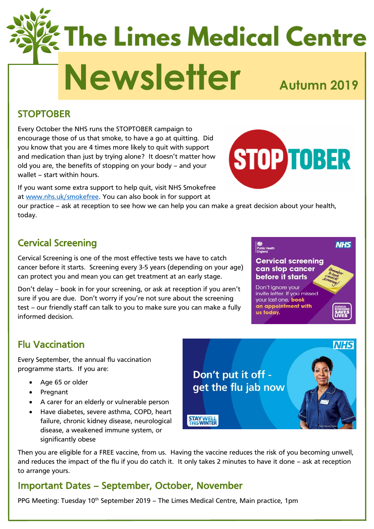# **The Limes Medical Centre** Newsletter<sub>Autumn</sub> 2019

#### **STOPTOBER**

Every October the NHS runs the STOPTOBER campaign to encourage those of us that smoke, to have a go at quitting. Did you know that you are 4 times more likely to quit with support and medication than just by trying alone? It doesn't matter how old you are, the benefits of stopping on your body – and your wallet – start within hours.

If you want some extra support to help quit, visit NHS Smokefree at [www.nhs.uk/smokefree.](http://www.nhs.uk/smokefree) You can also book in for support at

our practice – ask at reception to see how we can help you can make a great decision about your health, today.

# Cervical Screening

Cervical Screening is one of the most effective tests we have to catch cancer before it starts. Screening every 3-5 years (depending on your age) can protect you and mean you can get treatment at an early stage.

Don't delay – book in for your screening, or ask at reception if you aren't sure if you are due. Don't worry if you're not sure about the screening test – our friendly staff can talk to you to make sure you can make a fully informed decision.

| <b>Public Health</b><br>England                                          |  |
|--------------------------------------------------------------------------|--|
| <b>Cervical screening</b><br>can stop cancer                             |  |
| before it starts                                                         |  |
| Don't ignore your<br>invite letter. If you missed<br>your last one, book |  |

an appointment with

us today.

Flu Vaccination

Every September, the annual flu vaccination programme starts. If you are:

- Age 65 or older
- Pregnant
- A carer for an elderly or vulnerable person
- Have diabetes, severe asthma, COPD, heart failure, chronic kidney disease, neurological disease, a weakened immune system, or significantly obese

Don't put it off get the flu jab now

1,884

**STAY WELL** 

Then you are eligible for a FREE vaccine, from us. Having the vaccine reduces the risk of you becoming unwell, and reduces the impact of the flu if you do catch it. It only takes 2 minutes to have it done – ask at reception to arrange yours.

#### Important Dates – September, October, November

PPG Meeting: Tuesday 10<sup>th</sup> September 2019 – The Limes Medical Centre, Main practice, 1pm



**NHS**